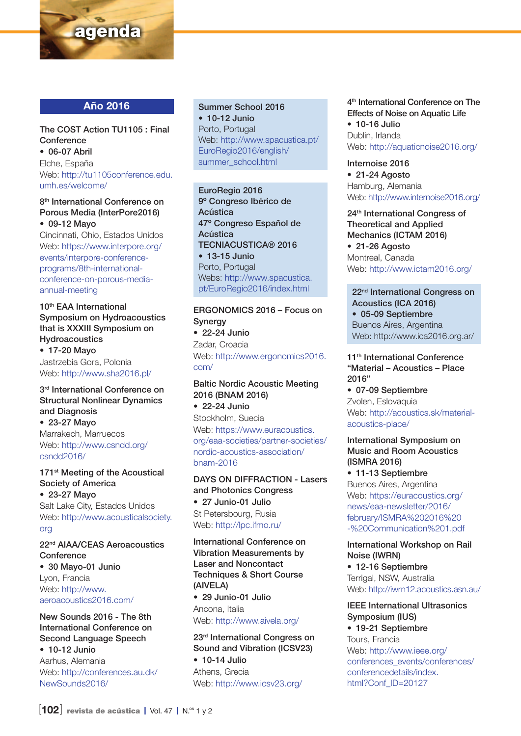

# Año 2016

#### The COST Action TU1105 : Final **Conference** • 06-07 Abril

Elche, España Web: http://tu1105conference.edu. umh.es/welcome/

#### 8<sup>th</sup> International Conference on Porous Media (InterPore2016) • 09-12 Mayo

Cincinnati, Ohio, Estados Unidos Web: https://www.interpore.org/ events/interpore-conferenceprograms/8th-internationalconference-on-porous-mediaannual-meeting

10th EAA International Symposium on Hydroacoustics that is XXXIII Symposium on Hydroacoustics • 17-20 Mayo Jastrzebia Gora, Polonia Web: http://www.sha2016.pl/

## 3<sup>rd</sup> International Conference on Structural Nonlinear Dynamics and Diagnosis

• 23-27 Mayo Marrakech, Marruecos Web: http://www.csndd.org/ csndd2016/

#### 171<sup>st</sup> Meeting of the Acoustical Society of America • 23-27 Mayo

Salt Lake City, Estados Unidos Web: http://www.acousticalsociety. org

#### 22nd AIAA/CEAS Aeroacoustics **Conference** • 30 Mayo-01 Junio Lyon, Francia Web: http://www.

aeroacoustics2016.com/

# New Sounds 2016 - The 8th International Conference on Second Language Speech

• 10-12 Junio Aarhus, Alemania Web: http://conferences.au.dk/ NewSounds2016/

# Summer School 2016

• 10-12 Junio Porto, Portugal Web: http://www.spacustica.pt/ EuroRegio2016/english/ summer\_school.html

EuroRegio 2016 9º Congreso Ibérico de Acústica 47º Congreso Español de Acústica TECNIACUSTICA® 2016 • 13-15 Junio Porto, Portugal Webs: http://www.spacustica. pt/EuroRegio2016/index.html

# ERGONOMICS 2016 – Focus on **Synergy**

• 22-24 Junio Zadar, Croacia Web: http://www.ergonomics2016. com/

# Baltic Nordic Acoustic Meeting 2016 (BNAM 2016)

• 22-24 Junio Stockholm, Suecia Web: https://www.euracoustics. org/eaa-societies/partner-societies/ nordic-acoustics-association/ bnam-2016

#### DAYS ON DIFFRACTION - Lasers and Photonics Congress

• 27 Junio-01 Julio St Petersbourg, Rusia Web: http://lpc.ifmo.ru/

International Conference on Vibration Measurements by Laser and Noncontact Techniques & Short Course (AIVELA)

• 29 Junio-01 Julio Ancona, Italia Web: http://www.aivela.org/

# 23rd International Congress on Sound and Vibration (ICSV23)

• 10-14 Julio Athens, Grecia Web: http://www.icsv23.org/ 4<sup>th</sup> International Conference on The Effects of Noise on Aquatic Life • 10-16 Julio Dublin, Irlanda Web: http://aquaticnoise2016.org/

Internoise 2016 • 21-24 Agosto Hamburg, Alemania Web: http://www.internoise2016.org/

24<sup>th</sup> International Congress of Theoretical and Applied Mechanics (ICTAM 2016) • 21-26 Agosto Montreal, Canada Web: http://www.ictam2016.org/

# 22nd International Congress on Acoustics (ICA 2016)

• 05-09 Septiembre Buenos Aires, Argentina Web: http://www.ica2016.org.ar/

#### 11<sup>th</sup> International Conference "Material – Acoustics – Place 2016"

• 07-09 Septiembre Zvolen, Eslovaquia Web: http://acoustics.sk/materialacoustics-place/

#### International Symposium on Music and Room Acoustics (ISMRA 2016)

• 11-13 Septiembre Buenos Aires, Argentina Web: https://euracoustics.org/ news/eaa-newsletter/2016/ february/ISMRA%202016%20 -%20Communication%201.pdf

International Workshop on Rail Noise (IWRN) • 12-16 Septiembre

Terrigal, NSW, Australia Web: http://iwrn12.acoustics.asn.au/

# IEEE International Ultrasonics Symposium (IUS) • 19-21 Septiembre

Tours, Francia Web: http://www.ieee.org/ conferences\_events/conferences/ conferencedetails/index. html?Conf\_ID=20127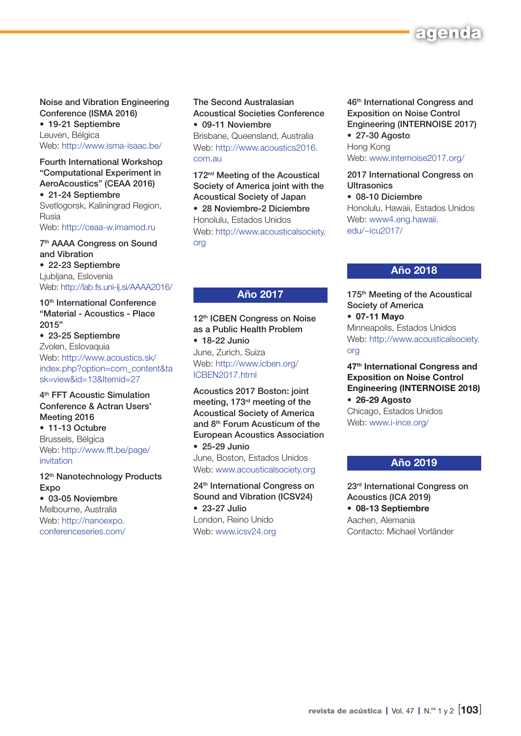

# Noise and Vibration Engineering Conference (ISMA 2016)

• 19-21 Septiembre Leuven, Bélgica Web: http://www.isma-isaac.be/

#### Fourth International Workshop "Computational Experiment in AeroAcoustics" (CEAA 2016)

• 21-24 Septiembre Svetlogorsk, Kaliningrad Region, Rusia Web: http://ceaa-w.imamod.ru

## 7th AAAA Congress on Sound and Vibration

• 22-23 Septiembre Ljubljana, Eslovenia Web: http://lab.fs.uni-lj.si/AAAA2016/

10<sup>th</sup> International Conference "Material - Acoustics - Place 2015"

• 23-25 Septiembre Zvolen, Eslovaquia Web: http://www.acoustics.sk/ index.php?option=com\_content&ta sk=view&id=13&Itemid=27

4<sup>th</sup> FFT Acoustic Simulation Conference & Actran Users' Meeting 2016 • 11-13 Octubre Brussels, Bélgica Web: http://www.fft.be/page/ invitation

12<sup>th</sup> Nanotechnology Products **Expo** • 03-05 Noviembre Melbourne, Australia

Web: http://nanoexpo. conferenceseries.com/

#### The Second Australasian Acoustical Societies Conference • 09-11 Noviembre

Brisbane, Queensland, Australia Web: http://www.acoustics2016. com.au

172<sup>nd</sup> Meeting of the Acoustical Society of America joint with the Acoustical Society of Japan

• 28 Noviembre-2 Diciembre Honolulu, Estados Unidos Web: http://www.acousticalsociety. org

# Año 2017

12<sup>th</sup> ICBEN Congress on Noise as a Public Health Problem

• 18-22 Junio June, Zurich, Suiza Web: http://www.icben.org/ ICBEN2017.html

Acoustics 2017 Boston: joint meeting, 173rd meeting of the Acoustical Society of America and 8th Forum Acusticum of the European Acoustics Association • 25-29 Junio

June, Boston, Estados Unidos Web: www.acousticalsociety.org

24th International Congress on Sound and Vibration (ICSV24) • 23-27 Julio London, Reino Unido Web: www.icsv24.org

46th International Congress and Exposition on Noise Control Engineering (INTERNOISE 2017) • 27-30 Agosto Hong Kong Web: www.internoise2017.org/

2017 International Congress on

**Ultrasonics** • 08-10 Diciembre Honolulu, Hawaii, Estados Unidos Web: www4.eng.hawaii. edu/~icu2017/

# Año 2018

175<sup>th</sup> Meeting of the Acoustical Society of America • 07-11 Mayo Minneapolis, Estados Unidos Web: http://www.acousticalsociety. org

47<sup>th</sup> International Congress and Exposition on Noise Control Engineering (INTERNOISE 2018) • 26-29 Agosto Chicago, Estados Unidos

Web: www.i-ince.org/

# Año 2019

23rd International Congress on Acoustics (ICA 2019) • 08-13 Septiembre Aachen, Alemania Contacto: Michael Vorländer